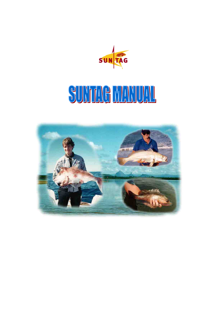

# SUNTAG MANUAL

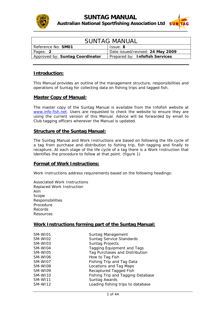



| <b>SUNTAG MANUAL</b>                                              |                                  |
|-------------------------------------------------------------------|----------------------------------|
| Reference No: SM01<br>Issue: 8                                    |                                  |
| Pages: 2                                                          | Date issued/revised: 24 May 2009 |
| Approved by: Suntag Coordinator<br>Prepared by: Infofish Services |                                  |

#### **Introduction:**

This Manual provides an outline of the management structure, responsibilities and operations of Suntag for collecting data on fishing trips and tagged fish.

#### **Master Copy of Manual:**

The master copy of the Suntag Manual is available from the Infofish website at [www.info-fish.net.](http://www.info-fish.net/) Users are requested to check the website to ensure they are using the current version of this Manual. Advice will be forwarded by email to Club tagging officers whenever the Manual is updated.

#### **Structure of the Suntag Manual:**

The Suntag Manual and Work Instructions are based on following the life cycle of a tag from purchase and distribution to fishing trip, fish tagging and finally to recapture. At each stage of the life cycle of a tag there is a Work Instruction that identifies the procedure to follow at that point. (*figure 1*)

#### **Format of Work Instructions:**

Work Instructions address requirements based on the following headings:

Associated Work Instructions Replaced Work Instruction Aim Scope Responsibilities Procedure Records Resources

#### **Work Instructions forming part of the Suntag Manual:**

| SM-WI01 | Suntag Management                 |
|---------|-----------------------------------|
| SM-WI02 | <b>Suntag Service Standards</b>   |
| SM-WI03 | <b>Suntag Projects</b>            |
| SM-WI04 | <b>Tagging Equipment and Tags</b> |
| SM-WI05 | Tag Purchases and Distribution    |
| SM-WI06 | How to Tag Fish                   |
| SM-WI07 | Fishing Trip and Tag Data         |
| SM-WI08 | Locations and Tag Maps            |
| SM-WI09 | Recaptured Tagged Fish            |
| SM-WI10 | Fishing Trip and Tagging Database |
| SM-WI11 | Suntag Awards                     |
| SM-WI12 | Loading fishing trips to database |
|         |                                   |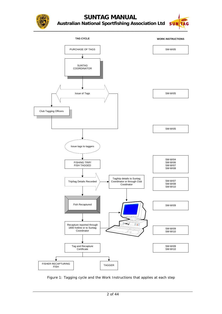

### **SUNTAG MANUAL Australian National Sportfishing Association Ltd**





Figure 1: Tagging cycle and the Work Instructions that applies at each step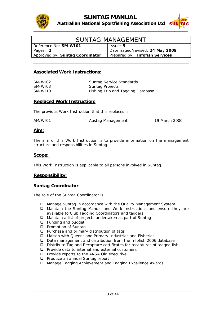



| <b>SUNTAG MANAGEMENT</b>                                          |                                  |
|-------------------------------------------------------------------|----------------------------------|
| Reference No: SM-W101<br>Issue: 5                                 |                                  |
| Pages: 2                                                          | Date issued/revised: 24 May 2009 |
| Approved by: Suntag Coordinator<br>Prepared by: Infofish Services |                                  |

#### **Associated Work Instructions:**

| SM-WI02 | <b>Suntag Service Standards</b>   |
|---------|-----------------------------------|
| SM-WI03 | Suntag Projects                   |
| SM-WI10 | Fishing Trip and Tagging Database |

#### **Replaced Work Instruction:**

The previous Work Instruction that this replaces is:

AM/WI01 Austag Management 19 March 2006

#### **Aim:**

The aim of this Work Instruction is to provide information on the management structure and responsibilities in Suntag.

#### **Scope:**

This Work Instruction is applicable to all persons involved in Suntag.

#### **Responsibility:**

#### **Suntag Coordinator**

The role of the Suntag Coordinator is:

- Manage Suntag in accordance with the Quality Management System
- Maintain the Suntag Manual and Work Instructions and ensure they are available to Club Tagging Coordinators and taggers
- □ Maintain a list of projects undertaken as part of Suntag
- $\Box$  Funding and budget
- **Promotion of Suntag**
- $\Box$  Purchase and primary distribution of tags
- Liaison with Queensland Primary Industries and Fisheries
- Data management and distribution from the Infofish 2006 database
- Distribute Tag and Recapture certificates for recaptures of tagged fish
- $\Box$  Provide data to internal and external customers
- **Provide reports to the ANSA Qld executive**
- **Produce an annual Suntag report**
- Manage Tagging Achievement and Tagging Excellence Awards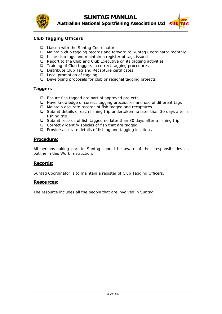



#### **Club Tagging Officers**

- □ Liaison with the Suntag Coordinator
- □ Maintain club tagging records and forward to Suntag Coordinator monthly
- $\Box$  Issue club tags and maintain a register of tags issued
- $\Box$  Report to the Club and Club Executive on its tagging activities
- $\Box$  Training of Club taggers in correct tagging procedures
- Distribute Club Tag and Recapture certificates
- □ Local promotion of tagging
- Developing proposals for club or regional tagging projects

#### **Taggers**

- $\Box$  Ensure fish tagged are part of approved projects
- $\Box$  Have knowledge of correct tagging procedures and use of different tags
- □ Maintain accurate records of fish tagged and recaptures
- $\Box$  Submit details of each fishing trip undertaken no later than 30 days after a fishing trip
- $\square$  Submit records of fish tagged no later than 30 days after a fishing trip
- $\Box$  Correctly identify species of fish that are tagged
- $\Box$  Provide accurate details of fishing and tagging locations

#### **Procedure:**

All persons taking part in Suntag should be aware of their responsibilities as outline in this Work Instruction.

#### **Records:**

Suntag Coordinator is to maintain a register of Club Tagging Officers.

#### **Resources:**

The resource includes all the people that are involved in Suntag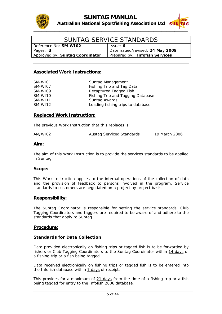



| SUNTAG SERVICE STANDARDS                                          |                                  |
|-------------------------------------------------------------------|----------------------------------|
| Reference No: SM-WI02<br>Issue: 6                                 |                                  |
| Pages: 3                                                          | Date issued/revised: 24 May 2009 |
| Approved by: Suntag Coordinator<br>Prepared by: Infofish Services |                                  |

#### **Associated Work Instructions:**

| SM-WI01        | Suntag Management                 |
|----------------|-----------------------------------|
| SM-WI07        | Fishing Trip and Tag Data         |
| SM-WI09        | Recaptured Tagged Fish            |
| SM-WI10        | Fishing Trip and Tagging Database |
| <b>SM-WI11</b> | Suntag Awards                     |
| SM-WI12        | Loading fishing trips to database |

#### **Replaced Work Instruction:**

The previous Work Instruction that this replaces is:

| AM/WI02 | <b>Austag Serviced Standards</b> | 19 March 2006 |
|---------|----------------------------------|---------------|
|         |                                  |               |

#### **Aim:**

The aim of this Work Instruction is to provide the services standards to be applied in Suntag.

#### **Scope:**

This Work Instruction applies to the internal operations of the collection of data and the provision of feedback to persons involved in the program. Service standards to customers are negotiated on a project by project basis.

#### **Responsibility:**

The Suntag Coordinator is responsible for setting the service standards. Club Tagging Coordinators and taggers are required to be aware of and adhere to the standards that apply to Suntag.

#### **Procedure:**

#### **Standards for Data Collection**

Data provided electronically on fishing trips or tagged fish is to be forwarded by fishers or Club Tagging Coordinators to the Suntag Coordinator within 14 days of a fishing trip or a fish being tagged.

Data received electronically on fishing trips or tagged fish is to be entered into the Infofish database within 7 days of receipt.

This provides for a maximum of 21 days from the time of a fishing trip or a fish being tagged for entry to the Infofish 2006 database.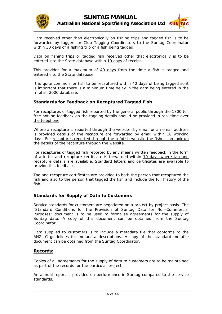



Data received other than electronically on fishing trips and tagged fish is to be forwarded by taggers or Club Tagging Coordinators to the Suntag Coordinator within 30 days of a fishing trip or a fish being tagged.

Data on fishing trips or tagged fish received other that electronically is to be entered into the State database within 10 days of receipt.

This provides for a maximum of 40 days from the time a fish is tagged and entered into the State database.

It is quite common for fish to be recaptured within 40 days of being tagged so it is important that there is a minimum time delay in the data being entered in the Infofish 2006 database.

#### **Standards for Feedback on Recaptured Tagged Fish**

For recaptures of tagged fish reported by the general public through the 1800 toll free hotline feedback on the tagging details should be provided in real time over the telephone.

Where a recapture is reported through the website, by email or an email address is provided details of the recapture are forwarded by email within 10 working days. For recaptures reported through the Infofish website the fisher can look up the details of the recapture through the website.

For recaptures of tagged fish reported by any means written feedback in the form of a letter and recapture certificate is forwarded within 10 days where tag and recapture details are available. Standard letters and certificates are available to provide this feedback.

Tag and recapture certificates are provided to both the person that recaptured the fish and also to the person that tagged the fish and include the full history of the fish.

#### **Standards for Supply of Data to Customers**

Service standards for customers are negotiated on a project by project basis. The "Standard Conditions for the Provision of Suntag Data for Non-Commercial Purposes" document is to be used to formalise agreements for the supply of Suntag data. A copy of this document can be obtained from the Suntag Coordinator.

Data supplied to customers is to include a metadata file that conforms to the ANZLIC guidelines for metadata descriptions. A copy of the standard metafile document can be obtained from the Suntag Coordinator.

#### **Records:**

Copies of all agreements for the supply of data to customers are to be maintained as part of the records for the particular project.

An annual report is provided on performance in Suntag compared to the service standards.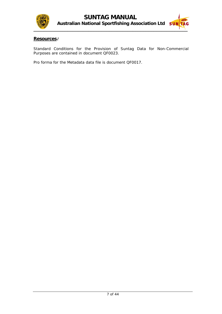



#### **Resources:**

Standard Conditions for the Provision of Suntag Data for Non-Commercial Purposes are contained in document QF0023.

Pro forma for the Metadata data file is document QF0017.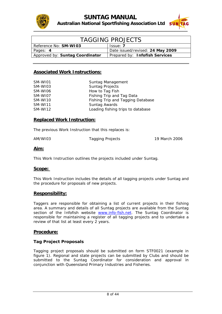



| <b>TAGGING PROJECTS</b>         |                                  |
|---------------------------------|----------------------------------|
| Reference No: SM-WI03           | Issue: 7                         |
| Pages: 4                        | Date issued/revised: 24 May 2009 |
| Approved by: Suntag Coordinator | Prepared by: Infofish Services   |

#### **Associated Work Instructions:**

| SM-WI01        | Suntag Management                 |
|----------------|-----------------------------------|
| SM-WI03        | <b>Suntag Projects</b>            |
| SM-WI06        | How to Tag Fish                   |
| SM-WI07        | Fishing Trip and Tag Data         |
| SM-WI10        | Fishing Trip and Tagging Database |
| <b>SM-WI11</b> | Suntag Awards                     |
| SM-WI12        | Loading fishing trips to database |

#### **Replaced Work Instruction:**

The previous Work Instruction that this replaces is:

| AM/WI03 | Tagging Projects | 19 March 2006 |
|---------|------------------|---------------|
|         |                  |               |

#### **Aim:**

This Work Instruction outlines the projects included under Suntag.

#### **Scope:**

This Work Instruction includes the details of all tagging projects under Suntag and the procedure for proposals of new projects.

#### **Responsibility:**

Taggers are responsible for obtaining a list of current projects in their fishing area. A summary and details of all Suntag projects are available from the Suntag section of the Infofish website [www.info-fish.net](http://www.info-fish.net/). The Suntag Coordinator is responsible for maintaining a register of all tagging projects and to undertake a review of that list at least every 2 years.

#### **Procedure:**

#### **Tag Project Proposals**

Tagging project proposals should be submitted on form STF0021 (example in *figure 1*). Regional and state projects can be submitted by Clubs and should be submitted to the Suntag Coordinator for consideration and approval in conjunction with Queensland Primary Industries and Fisheries.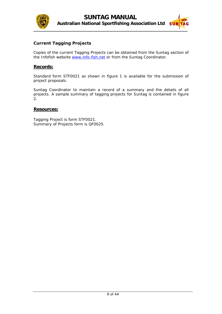



#### **Current Tagging Projects**

Copies of the current Tagging Projects can be obtained from the Suntag section of the Infofish website [www.info-fish.net](http://www.info-fish.net/) or from the Suntag Coordinator.

#### **Records:**

Standard form STF0021 as shown in *figure 1* is available for the submission of project proposals.

Suntag Coordinator to maintain a record of a summary and the details of all projects. A sample summary of tagging projects for Suntag is contained in *figure 2*.

#### **Resources:**

Tagging Project is form STF0021. Summary of Projects form is QF0025.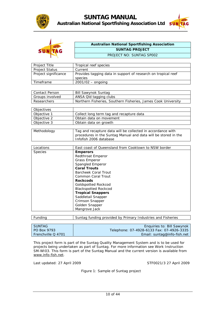



| s | Æ |
|---|---|
| ۰ | c |
|   |   |

#### **Australian National Sportfishing Association SUNTAG PROJECT**  PROJECT NO: SUNTAG SP002

| Project Title         | Tropical reef species                                         |
|-----------------------|---------------------------------------------------------------|
| <b>Project Status</b> | Current                                                       |
| Project significance  | Provides tagging data in support of research on tropical reef |
|                       | species                                                       |
| Timeframe             | $2001/02 -$ ongoing                                           |

| l Contact Person | <b>Bill Sawynok Suntag</b>                                    |
|------------------|---------------------------------------------------------------|
| Groups involved  | ANSA Qld tagging clubs                                        |
| Researchers      | Northern Fisheries, Southern Fisheries, James Cook University |

| Objectives  |                                          |
|-------------|------------------------------------------|
| Objective 1 | Collect long term tag and recapture data |
| Objective 2 | Obtain data on movement                  |
| Objective 3 | Obtain data on growth                    |

| Methodology    | Tag and recapture data will be collected in accordance with<br>procedures in the Suntag Manual and data will be stored in the<br>Infofish 2006 database |
|----------------|---------------------------------------------------------------------------------------------------------------------------------------------------------|
|                |                                                                                                                                                         |
| Locations      | East coast of Queensland from Cooktown to NSW border                                                                                                    |
| <b>Species</b> | <b>Emperors</b>                                                                                                                                         |
|                | Redthroat Emperor                                                                                                                                       |
|                | <b>Grass Emperor</b>                                                                                                                                    |
|                | Spangled Emperor                                                                                                                                        |
|                | <b>Coral Trouts</b>                                                                                                                                     |
|                | Barcheek Coral Trout                                                                                                                                    |
|                | Common Coral Trout                                                                                                                                      |
|                | <b>Rockcods</b>                                                                                                                                         |
|                | Goldspotted Rockcod                                                                                                                                     |
|                | <b>Blackspotted Rockcod</b>                                                                                                                             |
|                | <b>Tropical Snappers</b>                                                                                                                                |
|                | Saddletail Snapper                                                                                                                                      |
|                | Crimson Snapper                                                                                                                                         |
|                | Golden Snapper                                                                                                                                          |
|                | Mangrove Jack                                                                                                                                           |

| Suntag funding provided by Primary Industries and Fisheries |
|-------------------------------------------------------------|

| I SUNTAG             | Enquiries to: Bill Sawynok                |
|----------------------|-------------------------------------------|
| PO Box 9793          | Telephone: 07-4928-6133 Fax: 07-4926-3335 |
| l Frenchville Q 4701 | Email: suntag@info-fish.net               |
|                      |                                           |

This project form is part of the Suntag Quality Management System and is to be used for projects being undertaken as part of Suntag. For more information see Work Instruction SM-WI03. This form is part of the Suntag Manual and the current version is available from [www.info-fish.net](http://www.info-fish.net/).

Last updated: 27 April 2009 STF0021/3 27 April 2009

Figure 1: Sample of Suntag project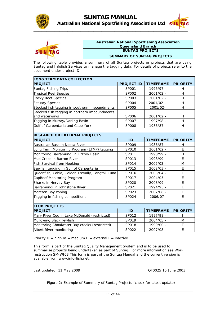

 $\blacksquare$ 



h



#### **Australian National Sportfishing Association Queensland Branch SUNTAG PROJECTS**

#### **SUMMARY OF SUNTAG PROJECTS**

The following table provides a summary of all Suntag projects or projects that are using Suntag and Infofish Services to manage the tagging data. For details of projects refer to the document under project ID.

| <b>LONG TERM DATA COLLECTION</b>                 |                   |                  |                 |
|--------------------------------------------------|-------------------|------------------|-----------------|
| <b>PROJECT</b>                                   | <b>PROJECT ID</b> | <b>TIMEFRAME</b> | <b>PRIORITY</b> |
| Suntag Fishing Trips                             | SP001             | 1996/97 -        | H               |
| <b>Tropical Reef Species</b>                     | SP002             | 2001/02 -        | H               |
| <b>Rocky Reef Species</b>                        | SP003             | 2001/02 -        | H               |
| <b>Estuary Species</b>                           | SP004             | $2001/02 -$      | H               |
| Stocked fish tagging in southern impoundments    | SP005             | 2001/02-         | H               |
| Stocked fish tagging in northern impoundments    |                   |                  |                 |
| and waterways                                    | SP006             | 2001/02 -        | H               |
| Tagging in Murray/Darling Basin                  | SP007             | 1997/98 -        | H               |
| Gulf of Carpentaria and Cape York                | <b>SP008</b>      | 1986/87 -        | H               |
|                                                  |                   |                  |                 |
| <b>RESEARCH OR EXTERNAL PROJECTS</b>             |                   |                  |                 |
| <b>PROJECT</b>                                   | ID                | <b>TIMEFRAME</b> | <b>PRIORITY</b> |
| Australian Bass in Noosa River                   | SP009             | 1986/87 -        | H               |
| Long Term Monitoring Program (LTMP) tagging      | SP010             | 2001/02 -        | F               |
| Monitoring Barramundi in Fitzroy Basin           | SP011             | 1998/99 -        | Н               |
| Mud Crabs in Barron River                        | SP013             | 1998/99 -        | E               |
| Fish Survival from Hooking                       | SP014             | $2002/03 -$      | M               |
| Sawfish tagging in Gulf of Carpentaria           | SP015             | 2002/03 -        | E               |
| Queenfish, Cobia, Golden Trevally, Longtail Tuna | SP016             | 2003/04 -        | E               |
| CapReef Monitoring Program                       | SP017             | $2004/05 -$      | E               |
| Sharks in Hervey Bay                             | <b>SP020</b>      | 2008/09 -        | E               |
| Barramundi in Johnstone River                    | SP021             | 1994/95 -        | E               |
| Moreton Bay zoning                               | SP023             | 2007/08 -        | E               |
| Tagging in fishing competitions                  | SP024             | 2006/07-         | E               |
|                                                  |                   |                  |                 |
| <b>CLUB PROJECTS</b>                             |                   |                  |                 |
| <b>PROJECT</b>                                   | ID                | <b>TIMEFRAME</b> | <b>PRIORITY</b> |
| Mary River Cod in Lake McDonald (restricted)     | SP012             | 1997/98 -        |                 |
| Mulloway, Black Jewfish                          | SP019             | $2004/05 -$      | M               |
| Monitoring Shoalwater Bay creeks (restricted)    | <b>SP018</b>      | 1999/00 -        | E               |

Priority  $H = high \, m = medium \, E = external \, I = inactive$ 

This form is part of the Suntag Quality Management System and is to be used to summarise projects being undertaken as part of Suntag. For more information see Work Instruction SM-WI03 This form is part of the Suntag Manual and the current version is available from [www.info-fish.net.](http://www.info-fish.net/)

Albert River monitoring  $\vert$  SP022 2007/08 - E

Last updated: 11 May 2009 QF0025 15 June 2003

Figure 2: Example of Summary of Suntag Projects (check for latest update)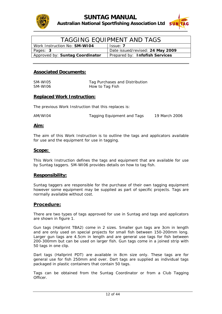



| TAGGING EQUIPMENT AND TAGS          |                                  |  |  |
|-------------------------------------|----------------------------------|--|--|
| Work Instruction No: <b>SM-WI04</b> | Issue: 7                         |  |  |
| Pages: 3                            | Date issued/revised: 24 May 2009 |  |  |
| Approved by: Suntag Coordinator     | Prepared by: Infofish Services   |  |  |

| SM-WI05 | Tag Purchases and Distribution |
|---------|--------------------------------|
| SM-WI06 | How to Tag Fish                |

#### **Replaced Work Instruction:**

The previous Work Instruction that this replaces is:

| AM/WI04 | Tagging Equipment and Tags | 19 March 2006 |
|---------|----------------------------|---------------|
|---------|----------------------------|---------------|

#### **Aim:**

The aim of this Work Instruction is to outline the tags and applicators available for use and the equipment for use in tagging.

#### **Scope:**

This Work Instruction defines the tags and equipment that are available for use by Suntag taggers. SM-WI06 provides details on how to tag fish.

#### **Responsibility:**

Suntag taggers are responsible for the purchase of their own tagging equipment however some equipment may be supplied as part of specific projects. Tags are normally available without cost.

#### **Procedure:**

There are two types of tags approved for use in Suntag and tags and applicators are shown in *figure 1*.

Gun tags (Hallprint TBA2) come in 2 sizes. Smaller gun tags are 3cm in length and are only used on special projects for small fish between 150-200mm long. Larger gun tags are 4.5cm in length and are general use tags for fish between 200-300mm but can be used on larger fish. Gun tags come in a joined strip with 50 tags in one clip.

Dart tags (Hallprint PDT) are available in 8cm size only. These tags are for general use for fish 250mm and over. Dart tags are supplied as individual tags packaged in plastic containers that contain 50 tags.

Tags can be obtained from the Suntag Coordinator or from a Club Tagging Officer.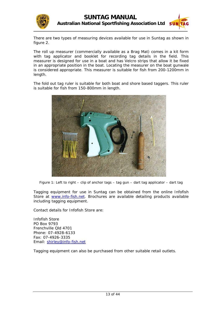

There are two types of measuring devices available for use in Suntag as shown in *figure 2*.

The roll up measurer (commercially available as a Brag Mat) comes in a kit form with tag applicator and booklet for recording tag details in the field. This measurer is designed for use in a boat and has Velcro strips that allow it be fixed in an appropriate position in the boat. Locating the measurer on the boat gunwale is considered appropriate. This measurer is suitable for fish from 200-1200mm in length.

The fold out tag ruler is suitable for both boat and shore based taggers. This ruler is suitable for fish from 150-800mm in length.



Figure 1: Left to right – clip of anchor tags – tag gun – dart tag applicator – dart tag

Tagging equipment for use in Suntag can be obtained from the online Infofish Store at [www.info-fish.net.](http://www.info-fish.net/) Brochures are available detailing products available including tagging equipment.

Contact details for Infofish Store are:

Infofish Store PO Box 9793 Frenchville Qld 4701 Phone: 07-4928-6133 Fax: 07-4926-3335 Email: [shirley@info-fish.net](mailto:shirley@info-fish.net)

Tagging equipment can also be purchased from other suitable retail outlets.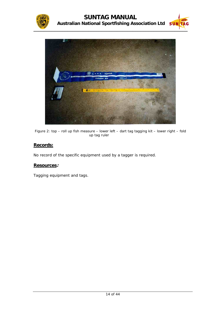



Figure 2: top – roll up fish measure – lower left – dart tag tagging kit – lower right – fold up tag ruler

#### **Records:**

No record of the specific equipment used by a tagger is required.

#### **Resources:**

Tagging equipment and tags.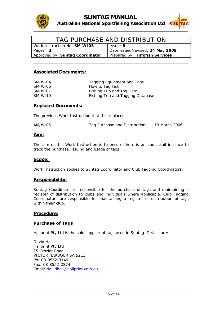



| TAG PURCHASE AND DISTRIBUTION   |                                  |  |  |
|---------------------------------|----------------------------------|--|--|
| Work Instruction No: SM-WI05    | Issue: 8                         |  |  |
| Pages: 3                        | Date issued/revised: 24 May 2009 |  |  |
| Approved by: Suntag Coordinator | Prepared by: Infofish Services   |  |  |

| SM-WI04 | Tagging Equipment and Tags        |
|---------|-----------------------------------|
| SM-WI06 | How to Tag Fish                   |
| SM-WI07 | Fishing Trip and Tag Data         |
| SM-WI10 | Fishing Trip and Tagging Database |

#### **Replaced Documents:**

The previous Work Instruction that this replaces is:

| AM/WI05 | Tag Purchase and Distribution | 19 March 2006 |
|---------|-------------------------------|---------------|
|         |                               |               |

#### **Aim:**

The aim of this Work Instruction is to ensure there is an audit trail in place to track the purchase, issuing and usage of tags.

#### **Scope:**

Work Instruction applies to Suntag Coordinator and Club Tagging Coordinators.

#### **Responsibility:**

Suntag Coordinator is responsible for the purchase of tags and maintaining a register of distribution to clubs and individuals where applicable. Club Tagging Coordinators are responsible for maintaining a register of distribution of tags within their club.

#### **Procedure:**

#### **Purchase of Tags**

Hallprint Pty Ltd is the sole supplier of tags used in Suntag. Details are:

David Hall Hallprint Pty Ltd 15 Crozier Road VICTOR HARBOUR SA 5211 Ph: 08-8552-3149 Fax: 08-8552-2874 Email: [davidhall@hallprint.com.au](mailto:davidhall@hallprint.com.au)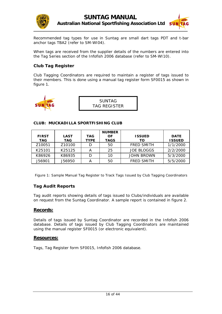



Recommended tag types for use in Suntag are small dart tags PDT and t-bar anchor tags TBA2 (refer to SM-WI04).

When tags are received from the supplier details of the numbers are entered into the Tag Series section of the Infofish 2006 database (refer to SM-WI10).

#### **Club Tag Register**

Club Tagging Coordinators are required to maintain a register of tags issued to their members. This is done using a manual tag register form SF0015 as shown in *figure 1*.

| SUNITAG |  |
|---------|--|

| <b>SUNTAG</b> |  |
|---------------|--|
| TAG REGISTER  |  |

#### **CLUB: MUCKADILLA SPORTFISHING CLUB**

|                    |                    |             | <b>NUMBER</b> |                   |               |
|--------------------|--------------------|-------------|---------------|-------------------|---------------|
| <b>FIRST</b>       | <b>LAST</b>        | TAG         | OF            | <b>ISSUED</b>     | <b>DATE</b>   |
| TAG                | <b>TAG</b>         | <b>TYPE</b> | <b>TAGS</b>   | то                | <b>ISSUED</b> |
| Z <sub>10051</sub> | Z <sub>10100</sub> |             | 50            | <b>FRED SMITH</b> | 1/1/2000      |
| K25101             | K25125             | А           | 25            | <b>JOE BLOGGS</b> | 2/2/2000      |
| K86926             | K86935             |             | 10            | <b>JOHN BROWN</b> | 5/3/2000      |
| J56901             | J56950             |             | 50            | <b>FRED SMITH</b> | 5/5/2000      |

Figure 1: Sample Manual Tag Register to Track Tags Issued by Club Tagging Coordinators

#### **Tag Audit Reports**

Tag audit reports showing details of tags issued to Clubs/individuals are available on request from the Suntag Coordinator. A sample report is contained in *figure 2.*

#### **Records:**

Details of tags issued by Suntag Coordinator are recorded in the Infofish 2006 database. Details of tags issued by Club Tagging Coordinators are maintained using the manual register SF0015 (or electronic equivalent).

#### **Resources:**

Tags, Tag Register form SF0015, Infofish 2006 database.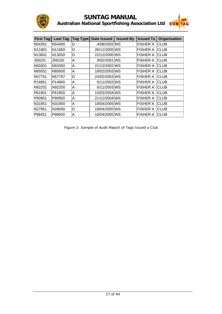

### **SUNTAG MANUAL Australian National Sportfishing Association Ltd SUNAL**



| <b>First Tag</b> | <b>Last Tag</b> | Tag Type | Date Issued   | <b>Issued By</b> | <b>Issued To</b> | <b>Organisation</b> |
|------------------|-----------------|----------|---------------|------------------|------------------|---------------------|
| N54351           | N54400          | D        | 4/08/2002 WS  |                  | <b>FISHER A</b>  | ICLUB               |
| N11801           | N11850          | D        | 26/11/2000 WS |                  | <b>FISHER A</b>  | ICLUB               |
| N13001           | N13050          | D        | 22/12/2000 WS |                  | <b>FISHER A</b>  | <b>CLUB</b>         |
| J58101           | J58150          | A)       | 9/02/2001 WS  |                  | <b>FISHER A</b>  | <b>ICLUB</b>        |
| N93301           | N93350          | A        | 21/12/2002 WS |                  | <b>FISHER A</b>  | <b>CLUB</b>         |
| N85551           | N85600          | IA.      | 18/02/2003 WS |                  | <b>FISHER A</b>  | <b>CLUB</b>         |
| N57751           | N57787          | D        | 24/02/2003 WS |                  | <b>FISHER A</b>  | ICLUB               |
| P14851           | P14900          | lA.      | 6/11/2003 WS  |                  | <b>FISHER A</b>  | <b>CLUB</b>         |
| N92201           | N92250          | lA.      | 6/11/2003 WS  |                  | FISHER A         | <b>CLUB</b>         |
| P61801           | P61850          | IA.      | 13/03/2004 WS |                  | <b>FISHER A</b>  | <b>CLUB</b>         |
| P90901           | P90950          | A        | 21/12/2004 WS |                  | <b>FISHER A</b>  | <b>CLUB</b>         |
| N31851           | N31900          | lA.      | 18/04/2005 WS |                  | <b>FISHER A</b>  | ∣CLUB               |
| N27951           | N28000          | D        | 18/04/2005 WS |                  | <b>FISHER A</b>  | ∣CLUB               |
| P98451           | P98500          | A        | 18/04/2005 WS |                  | <b>FISHER A</b>  | <b>CLUB</b>         |

Figure 2: Sample of Audit Report of Tags Issued a Club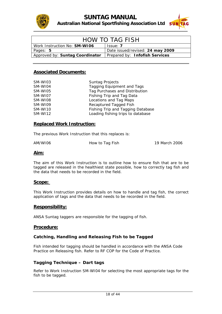



| <b>HOW TO TAG FISH</b>              |                                  |  |  |  |  |  |  |  |
|-------------------------------------|----------------------------------|--|--|--|--|--|--|--|
| Work Instruction No: <b>SM-WI06</b> | Issue: 7                         |  |  |  |  |  |  |  |
| Pages: 5                            | Date issued/revised: 24 may 2009 |  |  |  |  |  |  |  |
| Approved by: Suntag Coordinator     | Prepared by: Infofish Services   |  |  |  |  |  |  |  |

| SM-WI03 | <b>Suntag Projects</b>            |
|---------|-----------------------------------|
| SM-WI04 | <b>Tagging Equipment and Tags</b> |
| SM-WI05 | Tag Purchases and Distribution    |
| SM-WI07 | Fishing Trip and Tag Data         |
| SM-WI08 | Locations and Tag Maps            |
| SM-WI09 | Recaptured Tagged Fish            |
| SM-WI10 | Fishing Trip and Tagging Database |
| SM-WI12 | Loading fishing trips to database |

#### **Replaced Work Instruction:**

The previous Work Instruction that this replaces is:

AM/WI06 How to Tag Fish 19 March 2006

#### **Aim:**

The aim of this Work Instruction is to outline how to ensure fish that are to be tagged are released in the healthiest state possible, how to correctly tag fish and the data that needs to be recorded in the field.

#### **Scope:**

This Work Instruction provides details on how to handle and tag fish, the correct application of tags and the data that needs to be recorded in the field.

#### **Responsibility:**

ANSA Suntag taggers are responsible for the tagging of fish.

#### **Procedure:**

#### **Catching, Handling and Releasing Fish to be Tagged**

Fish intended for tagging should be handled in accordance with the ANSA Code Practice on Releasing fish. Refer to RF COP for the Code of Practice.

#### **Tagging Technique – Dart tags**

Refer to Work Instruction SM-WI04 for selecting the most appropriate tags for the fish to be tagged.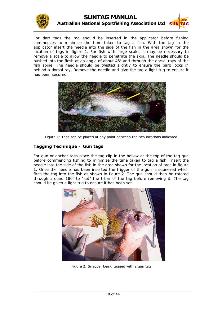



For dart tags the tag should be inserted in the applicator before fishing commences to minimise the time taken to tag a fish. With the tag in the applicator insert the needle into the side of the fish in the area shown for the location of tags in *figure 1*. For fish with large scales it may be necessary to remove a scale to allow the needle to penetrate the skin. The needle should be pushed into the flesh at an angle of about  $45^{\circ}$  and through the dorsal rays of the fish spine. The needle should be twisted slightly to ensure the barb locks in behind a dorsal ray. Remove the needle and give the tag a light tug to ensure it has been secured.



Figure 1: Tags can be placed at any point between the two locations indicated

#### **Tagging Technique – Gun tags**

For gun or anchor tags place the tag clip in the hollow at the top of the tag gun before commencing fishing to minimise the time taken to tag a fish. Insert the needle into the side of the fish in the area shown for the location of tags in *figure 1*. Once the needle has been inserted the trigger of the gun is squeezed which fires the tag into the fish as shown in *figure 2*. The gun should then be rotated through around 180° to "set" the t-bar of the tag before removing it. The tag should be given a light tug to ensure it has been set.



Figure 2: Snapper being tagged with a gun tag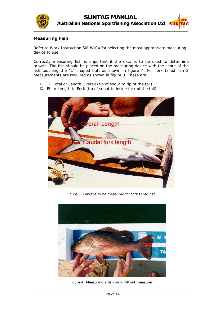



#### **Measuring Fish**

Refer to Work Instruction SM-WI04 for selecting the most appropriate measuring device to use.

fish touching the "L" shaped butt as shown in *figure 4*. For fork tailed fish 2 measurements are required as shown in *figure 3*. These are: Correctly measuring fish is important if the data is to be used to determine growth. The fish should be placed on the measuring device with the snout of the

- TL Total or Length Overall (tip of snout to tip of the tail)
- $\Box$  FL or Length to Fork (tip of snout to inside fork of the tail)



Figure 3: Lengths to be measured for fork tailed fish



Figure 4: Measuring a fish on a roll out measurer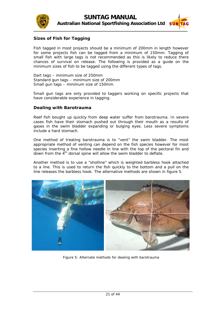



#### **Sizes of Fish for Tagging**

Fish tagged in most projects should be a minimum of 200mm in length however for some projects fish can be tagged from a minimum of 150mm. Tagging of small fish with large tags is not recommended as this is likely to reduce there chances of survival on release. The following is provided as a guide on the minimum sizes of fish to be tagged using the different types of tags.

Standard gun tags – minimum size of 200mm Dart tags – minimum size of 250mm Small gun tags – minimum size of 150mm

Small gun tags are only provided to taggers working on specific projects that have considerable experience in tagging.

#### **Dealing with Barotrauma**

cases fish have their stomach pushed out through their mouth as a results of gases in the swim bladder expanding or bulging eyes. Less severe symptoms Reef fish bought up quickly from deep water suffer from barotrauma. In severe include a hard stomach.

appropriate method of venting can depend on the fish species however for most species inserting a fine hollow needle in line with the top of the pectoral fin and One method of treating barotrauma is to "vent" the swim bladder. The most down from the  $4<sup>th</sup>$  dorsal spine will allow the swim bladder to deflate.

to a line. This is used to return the fish quickly to the bottom and a pull on the Another method is to use a "shotline" which is weighted barbless hook attached line releases the barbless hook. The alternative methods are shown in *figure 5*.



Figure 5: Alternate methods for dealing with barotrauma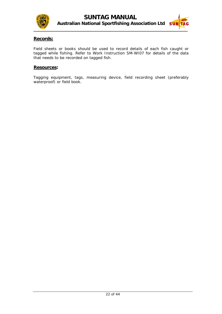



#### **Records:**

Field sheets or books should be used to record details of each fish caught or tagged while fishing. Refer to Work Instruction SM-WI07 for details of the data that needs to be recorded on tagged fish.

#### **Resources:**

Tagging equipment, tags, measuring device, field recording sheet (preferably waterproof) or field book.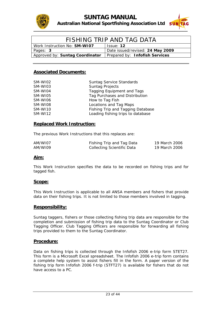



| FISHING TRIP AND TAG DATA           |                                  |  |  |  |  |  |  |
|-------------------------------------|----------------------------------|--|--|--|--|--|--|
| Work Instruction No: <b>SM-WIO7</b> | Issue: 12                        |  |  |  |  |  |  |
| Pages: 3                            | Date issued/revised: 24 May 2009 |  |  |  |  |  |  |
| Approved by: Suntag Coordinator     | Prepared by: Infofish Services   |  |  |  |  |  |  |

| SM-WI02 | <b>Suntag Service Standards</b>   |
|---------|-----------------------------------|
| SM-WI03 | <b>Suntag Projects</b>            |
| SM-WI04 | Tagging Equipment and Tags        |
| SM-WI05 | Tag Purchases and Distribution    |
| SM-WI06 | How to Tag Fish                   |
| SM-WI08 | Locations and Tag Maps            |
| SM-WI10 | Fishing Trip and Tagging Database |
| SM-WI12 | Loading fishing trips to database |

#### **Replaced Work Instruction:**

The previous Work Instructions that this replaces are:

| AM/WI07 | Fishing Trip and Tag Data  | 19 March 2006 |
|---------|----------------------------|---------------|
| AM/WI09 | Collecting Scientific Data | 19 March 2006 |

#### **Aim:**

This Work Instruction specifies the data to be recorded on fishing trips and for tagged fis h.

#### **Scope:**

This Work Instructio n is applicable to all ANSA members and fishers that provide data on their fishing trips. It is not limited to those members involved in tagging.

#### **Responsibility:**

Suntag taggers, fishers or those collecting fishing trip data are responsible for the completion and submission of fishing trip data to the Suntag Coordinator or Club Tagging Officer. Club Tagging Officers are responsible for forwarding all fishing trips provided to them to the Suntag Coordinator.

#### **Procedure:**

Data on fishing trips is collected through the Infofish 2006 e-trip form STET27. This form is a Microsoft Excel spreadsheet. The Infofish 2006 e-trip form contains a complete help system to assist fishers fill in the form. A paper version of the fishing trip form Infofish 2006 f-trip (STFT27) is available for fishers that do not have access to a PC.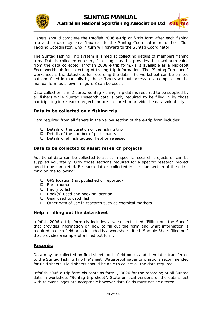



Fishers should complete the Infofish 2006 e-trip or f-trip form after each fishing trip and forward by email/fax/mail to the Suntag Coordinator or to their Club Tagging Coordinator, who in turn will forward to the Suntag Coordinator.

The Suntag Fishing Trip system is aimed at collecting details of members fishing trips. Data is collected on every fish caught as this provides the maximum value from the data collected. Infofish 2006 e-trip form.xls is available as a Microsoft manual form as shown in *figure 3* can be used.. Excel workbook for collecting of fishing trip information. The "Suntag Trip sheet" worksheet is the datasheet for recording the data. The worksheet can be printed out and filled in manually by those fishers without access to a computer or the

Data collection is in 2 parts. Suntag Fishing Trip data is required to be supplied by participating in research projects or are prepared to provide the data voluntarily. all fishers while Suntag Research data is only required to be filled in by those

#### **Da ta to be collected on a fishing trip**

Data required from all fishers in the yellow section of the e-trip form includes:

- $\Box$  Details of the duration of the fishing trip
- $\Box$  Details of the number of participants
- Details of all fish tagged, kept or released.

#### Data to be collected to assist research projects

Additional data can be collected to assist in specific research projects or can be supplied voluntarily. Only those sections required for a specific research project need to be completed. Research data is collected in the blue section of the e-trip form on the following:

- GPS location (not published or reported)
- □ Barotrauma
- $\Box$  Injury to fish
- $\Box$  Hook(s) used and hooking location
- $\Box$  Gear used to catch fish
- $\Box$  Other data of use in research such as chemical markers

#### **Help in filling out the data sheet**

Infofish 2006 e-trip form.xls includes a worksheet titled "Filling out the Sheet" that provides information on how to fill out the form and what information is required in each field. Also included is a worksheet titled "Sample Sheet filled out" that provides a sample of a filled out form.

#### **Records:**

to the Suntag Fishing Trip file/sheet. Waterproof paper or plastic is recommended for field sheets. Field sheets should be able to collect all the data required. Data may be collected on field sheets or in field books and then later transferred

Infofish 2006 e-trip form.xls contains form QF0026 for the recording of all Suntag data in worksheet "Suntag trip sheet". State or local versions of the data sheet with relevant logos are acceptable however data fields must not be altered.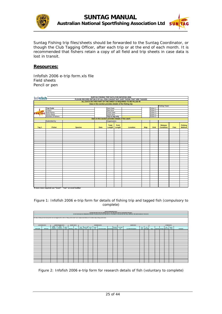



Suntag Fishing trip files/sheets should be forw arded to the Suntag Coordinator, or though the Club Tagging Officer, after each trip or at the end of each month. It is recommended that fishers retain a copy of all field and trip sheets in case data is lost in transit.

#### **esources: R**

Infofish 2006 e-trip form.xls file Field sheets Pencil or pen

| infofish<br>SUNTAG FISHING TRIP DATA FOR INFOFISH 2006 |                                                                                                                             |                                                                         |             |                        |                |          |     |          |                             |      |                                 |  |  |
|--------------------------------------------------------|-----------------------------------------------------------------------------------------------------------------------------|-------------------------------------------------------------------------|-------------|------------------------|----------------|----------|-----|----------|-----------------------------|------|---------------------------------|--|--|
|                                                        |                                                                                                                             | PLEASE RECORD DETAILS OF ALL FISH CAUGHT NOT JUST THOSE THAT ARE TAGGED |             |                        |                |          |     |          |                             |      |                                 |  |  |
|                                                        | ALL DATA ON THIS PART OF THE SHEET IS REQUIRED TO BE FILLED IN<br>Data in this section provides details of the fishing trip |                                                                         |             |                        |                |          |     |          |                             |      |                                 |  |  |
|                                                        |                                                                                                                             |                                                                         |             |                        |                |          |     |          |                             |      |                                 |  |  |
|                                                        |                                                                                                                             |                                                                         |             |                        |                |          |     |          | <b>Fishing Team</b>         |      |                                 |  |  |
|                                                        | <b>Trip Code</b>                                                                                                            |                                                                         |             | <b>Start Date</b>      |                |          |     | Fisher 1 |                             |      |                                 |  |  |
|                                                        | Project                                                                                                                     |                                                                         |             | Start time             |                |          |     | Fisher 2 |                             |      |                                 |  |  |
| <b>SUN TAG</b>                                         | <b>Boat Ramp</b>                                                                                                            |                                                                         |             | <b>Finish Date</b>     |                |          |     | Fisher 3 |                             |      |                                 |  |  |
|                                                        | Home Base                                                                                                                   |                                                                         |             | Finish time            |                |          |     | Fisher 4 |                             |      |                                 |  |  |
|                                                        | Number of fishers                                                                                                           |                                                                         |             | Trip or tag only       |                |          |     | Fisher 5 |                             |      |                                 |  |  |
| Data in this section provides details of the catch     |                                                                                                                             |                                                                         |             |                        |                |          |     |          |                             |      |                                 |  |  |
|                                                        | Submitted by                                                                                                                |                                                                         |             | Organisation           |                |          |     |          |                             |      |                                 |  |  |
| Tag 1                                                  | <b>Fisher</b>                                                                                                               | <b>Species</b>                                                          | <b>Date</b> | <b>Total</b><br>Length | Fork<br>Length | Location | Map | Grid     | Release<br><b>Condition</b> | Fate | <b>Fishing</b><br><b>Method</b> |  |  |
|                                                        |                                                                                                                             |                                                                         |             |                        |                |          |     |          |                             |      |                                 |  |  |
|                                                        |                                                                                                                             |                                                                         |             |                        |                |          |     |          |                             |      |                                 |  |  |
|                                                        |                                                                                                                             |                                                                         |             |                        |                |          |     |          |                             |      |                                 |  |  |
|                                                        |                                                                                                                             |                                                                         |             |                        |                |          |     |          |                             |      |                                 |  |  |
|                                                        |                                                                                                                             |                                                                         |             |                        |                |          |     |          |                             |      |                                 |  |  |
|                                                        |                                                                                                                             |                                                                         |             |                        |                |          |     |          |                             |      |                                 |  |  |
|                                                        |                                                                                                                             |                                                                         |             |                        |                |          |     |          |                             |      |                                 |  |  |
|                                                        |                                                                                                                             |                                                                         |             |                        |                |          |     |          |                             |      |                                 |  |  |
|                                                        |                                                                                                                             |                                                                         |             |                        |                |          |     |          |                             |      |                                 |  |  |
|                                                        |                                                                                                                             |                                                                         |             |                        |                |          |     |          |                             |      |                                 |  |  |
|                                                        |                                                                                                                             |                                                                         |             |                        |                |          |     |          |                             |      |                                 |  |  |
|                                                        |                                                                                                                             |                                                                         |             |                        |                |          |     |          |                             |      |                                 |  |  |
|                                                        |                                                                                                                             |                                                                         |             |                        |                |          |     |          |                             |      |                                 |  |  |
|                                                        |                                                                                                                             |                                                                         |             |                        |                |          |     |          |                             |      |                                 |  |  |
|                                                        |                                                                                                                             |                                                                         |             |                        |                |          |     |          |                             |      |                                 |  |  |
|                                                        |                                                                                                                             |                                                                         |             |                        |                |          |     |          |                             |      |                                 |  |  |
|                                                        |                                                                                                                             |                                                                         |             |                        |                |          |     |          |                             |      |                                 |  |  |
|                                                        |                                                                                                                             |                                                                         |             |                        |                |          |     |          |                             |      |                                 |  |  |
|                                                        |                                                                                                                             |                                                                         |             |                        |                |          |     |          |                             |      |                                 |  |  |
|                                                        |                                                                                                                             |                                                                         |             |                        |                |          |     |          |                             |      |                                 |  |  |
|                                                        |                                                                                                                             |                                                                         |             |                        |                |          |     |          |                             |      |                                 |  |  |
|                                                        |                                                                                                                             |                                                                         |             |                        |                |          |     |          |                             |      |                                 |  |  |
|                                                        |                                                                                                                             |                                                                         |             |                        |                |          |     |          |                             |      |                                 |  |  |
|                                                        |                                                                                                                             |                                                                         |             |                        |                |          |     |          |                             |      |                                 |  |  |
|                                                        |                                                                                                                             |                                                                         |             |                        |                |          |     |          |                             |      |                                 |  |  |
|                                                        |                                                                                                                             |                                                                         |             |                        |                |          |     |          |                             |      |                                 |  |  |
|                                                        |                                                                                                                             | If more rows required use "insert" - "row" on excel toolbar             |             |                        |                |          |     |          |                             |      |                                 |  |  |

Figure 1: Infofish 2006 e-trip form for details of fishing trip and tagged fish (compulsory to complete)

|                  | <b>SUNTAG RESEARCH DATA</b>                                                                                                                                                |                      |                             |                |                          |  |      |                             |              |              |                                     |  |  |                          |                              |              |                  |                                |       |               |         |
|------------------|----------------------------------------------------------------------------------------------------------------------------------------------------------------------------|----------------------|-----------------------------|----------------|--------------------------|--|------|-----------------------------|--------------|--------------|-------------------------------------|--|--|--------------------------|------------------------------|--------------|------------------|--------------------------------|-------|---------------|---------|
|                  | PLEASE RECORD THE FOLLOWING DATA IF YOU ARE INVOLVED IN A RESEARCH PROJECT                                                                                                 |                      |                             |                |                          |  |      |                             |              |              |                                     |  |  |                          |                              |              |                  |                                |       |               |         |
|                  | IF NOT INVOVLED IN A RESEARCH PROJECT FILLING IN DATA ON THIS PART OF THE SHEET IS VOLUNTARY BUT WILL IMPROVE THE USEFULNESS OF THE DATA                                   |                      |                             |                |                          |  |      |                             |              |              |                                     |  |  |                          |                              |              |                  |                                |       |               |         |
|                  |                                                                                                                                                                            |                      |                             |                |                          |  |      |                             |              |              |                                     |  |  |                          |                              |              |                  |                                |       |               |         |
|                  |                                                                                                                                                                            |                      |                             |                |                          |  |      |                             |              |              |                                     |  |  |                          |                              |              |                  |                                |       |               |         |
|                  | For help in filling out form hold pointer over red tagged cells or refer to "filling out the sheet" and "sample sheet filled out" for further help in filling out the form |                      |                             |                |                          |  |      |                             |              |              |                                     |  |  |                          |                              |              |                  |                                |       |               |         |
|                  | <b>LOCATION DATA</b><br><b>BAROTRAUMA DATA</b><br><b>HOOKING DATA</b><br><b>GEAR DATA</b><br><b>OTHER DATA</b><br>INJURY DATA                                              |                      |                             |                |                          |  |      |                             |              |              |                                     |  |  |                          |                              |              |                  |                                |       |               |         |
|                  |                                                                                                                                                                            | Swift                | Swift                       |                |                          |  |      |                             |              |              |                                     |  |  |                          |                              |              |                  |                                |       |               |         |
| <b>GPS South</b> | <b>GPS East</b>                                                                                                                                                            | Bladder<br>Condition | Bladder<br><b>Treatment</b> | Water<br>depth | Bleeding Injury location |  | Hook | <b>Hook left</b><br>in fish | Hook<br>type | Hook<br>size | Hook Description Hook Barb of hooks |  |  | Number Lure-Balt<br>size | <b>Lure-Balt Description</b> | Line<br>Type | Line<br>Strength | Tag 2 Injected Dosage Crab sex | Fish- | Water<br>Temp | Comment |
|                  |                                                                                                                                                                            |                      |                             |                |                          |  |      |                             |              |              |                                     |  |  |                          |                              |              |                  |                                |       |               |         |
|                  |                                                                                                                                                                            |                      |                             |                |                          |  |      |                             |              |              |                                     |  |  |                          |                              |              |                  |                                |       |               |         |
|                  |                                                                                                                                                                            |                      |                             |                |                          |  |      |                             |              |              |                                     |  |  |                          |                              |              |                  |                                |       |               |         |
|                  |                                                                                                                                                                            |                      |                             |                |                          |  |      |                             |              |              |                                     |  |  |                          |                              |              |                  |                                |       |               |         |
|                  |                                                                                                                                                                            |                      |                             |                |                          |  |      |                             |              |              |                                     |  |  |                          |                              |              |                  |                                |       |               |         |
|                  |                                                                                                                                                                            |                      |                             |                |                          |  |      |                             |              |              |                                     |  |  |                          |                              |              |                  |                                |       |               |         |
|                  |                                                                                                                                                                            |                      |                             |                |                          |  |      |                             |              |              |                                     |  |  |                          |                              |              |                  |                                |       |               |         |
|                  |                                                                                                                                                                            |                      |                             |                |                          |  |      |                             |              |              |                                     |  |  |                          |                              |              |                  |                                |       |               |         |
|                  |                                                                                                                                                                            |                      |                             |                |                          |  |      |                             |              |              |                                     |  |  |                          |                              |              |                  |                                |       |               |         |
|                  |                                                                                                                                                                            |                      |                             |                |                          |  |      |                             |              |              |                                     |  |  |                          |                              |              |                  |                                |       |               |         |
|                  |                                                                                                                                                                            |                      |                             |                |                          |  |      |                             |              |              |                                     |  |  |                          |                              |              |                  |                                |       |               |         |
|                  |                                                                                                                                                                            |                      |                             |                |                          |  |      |                             |              |              |                                     |  |  |                          |                              |              |                  |                                |       |               |         |
|                  |                                                                                                                                                                            |                      |                             |                |                          |  |      |                             |              |              |                                     |  |  |                          |                              |              |                  |                                |       |               |         |
|                  |                                                                                                                                                                            |                      |                             |                |                          |  |      |                             |              |              |                                     |  |  |                          |                              |              |                  |                                |       |               |         |
|                  |                                                                                                                                                                            |                      |                             |                |                          |  |      |                             |              |              |                                     |  |  |                          |                              |              |                  |                                |       |               |         |
|                  |                                                                                                                                                                            |                      |                             |                |                          |  |      |                             |              |              |                                     |  |  |                          |                              |              |                  |                                |       |               |         |
|                  |                                                                                                                                                                            |                      |                             |                |                          |  |      |                             |              |              |                                     |  |  |                          |                              |              |                  |                                |       |               |         |
|                  |                                                                                                                                                                            |                      |                             |                |                          |  |      |                             |              |              |                                     |  |  |                          |                              |              |                  |                                |       |               |         |
|                  |                                                                                                                                                                            |                      |                             |                |                          |  |      |                             |              |              |                                     |  |  |                          |                              |              |                  |                                |       |               |         |
|                  |                                                                                                                                                                            |                      |                             |                |                          |  |      |                             |              |              |                                     |  |  |                          |                              |              |                  |                                |       |               |         |
|                  |                                                                                                                                                                            |                      |                             |                |                          |  |      |                             |              |              |                                     |  |  |                          |                              |              |                  |                                |       |               |         |
|                  |                                                                                                                                                                            |                      |                             |                |                          |  |      |                             |              |              |                                     |  |  |                          |                              |              |                  |                                |       |               |         |
|                  |                                                                                                                                                                            |                      |                             |                |                          |  |      |                             |              |              |                                     |  |  |                          |                              |              |                  |                                |       |               |         |
|                  |                                                                                                                                                                            |                      |                             |                |                          |  |      |                             |              |              |                                     |  |  |                          |                              |              |                  |                                |       |               |         |
|                  |                                                                                                                                                                            |                      |                             |                |                          |  |      |                             |              |              |                                     |  |  |                          |                              |              |                  |                                |       |               |         |
|                  |                                                                                                                                                                            |                      |                             |                |                          |  |      |                             |              |              |                                     |  |  |                          |                              |              |                  |                                |       |               |         |

Figure 2: Infofish 2006 e-trip form for research details of fish (voluntary to complete)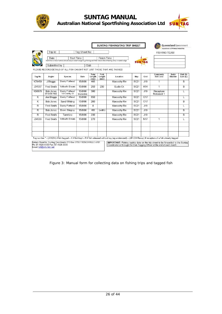

### **SUNTAG MANUAL**



|                         | Trip Id:                         |                                                                          | Tag Sheet No:         |                         |                        |                                                                                                                                                                 |                  |            | <b>FISHING TEAM</b>         |                 |                      |
|-------------------------|----------------------------------|--------------------------------------------------------------------------|-----------------------|-------------------------|------------------------|-----------------------------------------------------------------------------------------------------------------------------------------------------------------|------------------|------------|-----------------------------|-----------------|----------------------|
|                         | Date                             | <b>Start Time</b>                                                        |                       |                         | Finish Time            | Start time is time of arrival at boat ramp or water's edge to go fishing and finish time is time of leaving ramp or water's edge                                | <b>SUN</b>       | <b>TAG</b> |                             |                 |                      |
|                         | Submitted by                     | PLEASE RECORD DETAILS OF ALL FISH CAUGHT NOT JUST THOSE THAT ARE TAGGED. |                       | Club                    |                        |                                                                                                                                                                 |                  |            |                             |                 |                      |
| <b>Tag No</b>           | Angler                           | <b>Species</b>                                                           | Date                  | Total<br>Lenath<br>(mm) | Fork<br>Length<br>(mm) | Location                                                                                                                                                        | Map              | Grid       | Comments<br><b>Rel Cond</b> | Swim<br>Bladder | Bait (B)<br>Lure (L) |
| K78459                  | J Bloggs                         | Dusky Flathead                                                           | 15/8/98               | 465                     |                        | Maroochy Riv                                                                                                                                                    | SC21             | J19        | 1                           |                 | B                    |
| J04567                  | Fred Smith                       | Yellowfin Bream                                                          | 15/8/98               | 250                     | 230                    | Fudlo Ck                                                                                                                                                        | <b>SC21</b>      | K14        | 1                           |                 | B                    |
| K56878                  | <b>Bob Jones</b><br>07-3456-7890 | Dusky Flathead<br>14 Cranky St                                           | 15/8/98<br>Muckadilla | 380                     |                        | Maroochy Riv                                                                                                                                                    | SC <sub>21</sub> | J19        | Recapture<br>Released 1     |                 | Ł                    |
| $\overline{\mathsf{K}}$ | Joe Bloggs                       | Dusky Flathead                                                           | 15/8/98               | 650                     |                        | Maroochy Riv                                                                                                                                                    | SC <sub>21</sub> | O17        |                             |                 | L                    |
| Κ                       | <b>Bob Jones</b>                 | Sand Whiting                                                             | 15/8/98               | 280                     |                        | Maroochy Riv                                                                                                                                                    | <b>SC21</b>      | O17        |                             |                 | B                    |
| R                       | Fred Smith                       | Dusky Flathead                                                           | 15/8/98               | $\overline{0}$          |                        | Maroochy Riv                                                                                                                                                    | <b>SC21</b>      | J19        |                             |                 | L                    |
| $\overline{\mathsf{R}}$ | Bob Jones                        | Brown Stingray                                                           | 15/8/98               | 400                     | (width)                | Maroochy Riv                                                                                                                                                    | <b>SC21</b>      | J19        |                             |                 | $\overline{B}$       |
| R                       | Fred Smith                       | Tarwhine                                                                 | 15/8/98               | 230                     |                        | Maroochy Riv                                                                                                                                                    | <b>SC21</b>      | J19        |                             |                 | B                    |
| J04568                  | Fred Smith                       | Yellowfin Bream                                                          | 15/8/98               | 270                     |                        | Maroochy Riv                                                                                                                                                    | <b>SC21</b>      | N17        | 1                           |                 | L                    |
|                         |                                  |                                                                          |                       |                         |                        |                                                                                                                                                                 |                  |            |                             |                 |                      |
|                         |                                  |                                                                          |                       |                         |                        |                                                                                                                                                                 |                  |            |                             |                 |                      |
|                         |                                  |                                                                          |                       |                         |                        | Tag number * - (J01234) if fish tagged - K if fish kept - R if fish released without tag (eg undersized) - (J01234 Recap) if recapture of a fish already tagged |                  |            |                             |                 |                      |

Figure 3: Manual form for collecting data on fishing trips and tagged fish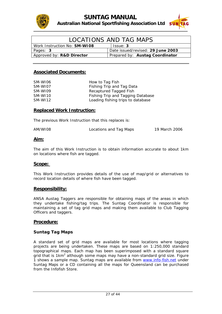



| LOCATIONS AND TAG MAPS              |                                   |  |  |  |
|-------------------------------------|-----------------------------------|--|--|--|
| Work Instruction No: <b>SM-WI08</b> | Is sue: 3                         |  |  |  |
| Pages: 3                            | Date issued/revised: 29 June 2003 |  |  |  |
| Approved by: R&D Director           | Prepared by: Austag Coordinator   |  |  |  |

| SM-WI06 | How to Tag Fish                   |
|---------|-----------------------------------|
| SM-WI07 | Fishing Trip and Tag Data         |
| SM-WI09 | Recaptured Tagged Fish            |
| SM-WI10 | Fishing Trip and Tagging Database |
| SM-WI12 | Loading fishing trips to database |

#### **Replaced Work Instruction:**

The previous Work Instruction that this replaces is:

| AM/WI08 | Locations and Tag Maps | 19 March 2006 |
|---------|------------------------|---------------|
|         |                        |               |

#### **Aim:**

The aim of this Work Instruction is to obtain information accurate to about 1km on locations where fish are tagged.

#### **Scope:**

This Work Instruction provides details of the use of map/grid or alternatives to record location details of where fish have been tagged.

#### **Responsibility:**

ANSA Austag Taggers are responsible for obtaining maps of the areas in which they undertake fishing/tag trips. The Suntag Coordinator is responsible for maintaining a set of tag grid maps and making them available to Club Tagging Officers and taggers.

#### **Procedure:**

#### **Suntag Tag Maps**

A standard set of grid maps are available for most locations where tagging projects are being undertaken. These maps are based on 1:250,000 standard topographical maps. Each map has been superimposed with a standard square grid that is 1km<sup>2</sup> although some maps may have a non-standard grid size. Figure *1* shows a sample map. Suntag maps are available from [www.info-fish.net](http://www.info-fish.net/) under Suntag Maps or a CD containing all the maps for Queensland can be purchased from the Infofish Store.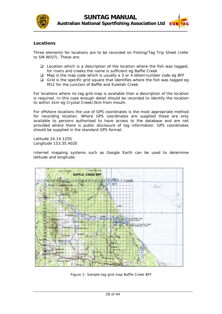



#### **Locations**

Three elements for locations are to be recorded on Fishing/Tag Trip Sheet (refer to SM-WI07). These are:

- $\square$  Location which is a description of the location where the fish was tagged, for rivers and creeks the name is sufficient eg Baffle Creek
- □ Map is the map code which is usually a 3 or 4 letter/number code eg BFF
- $\Box$  Grid is the specific grid square that identifies where the fish was tagged eg M12 for the junction of Baffle and Euleilah Creek

For locations where no tag grid map is available then a description of the location is required. In this case enough detail should be recorded to identify the location to within 1km eg Crystal Creek/3km from mouth.

For offshore locations the use of GPS coordinates is the most appropriate method for recording location. Where GPS coordinates are supplied these are only available to persons authorised to have access to the database and are not provided where there is public disclosure of tag information. GPS coordinates should be supplied in the standard GPS format:

Latitude 24.14.125S Longitude 153.35.402E

Internet mapping systems such as Google Earth can be used to determine latitude and longitude.



Figure 1: Sample tag grid map Baffle Creek BFF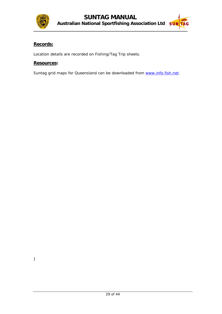

## $\frac{1}{2}$

#### **Records:**

Location details are recorded on Fishing/Tag Trip sheets.

#### **esources R :**

Suntag grid maps for Queensland can be downloaded from www.info-fish.net.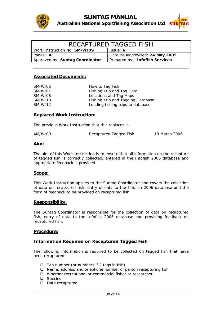



| RECAPTURED TAGGED FISH              |                                  |  |  |
|-------------------------------------|----------------------------------|--|--|
| Work Instruction No: <b>SM-WI09</b> | Issue: 6                         |  |  |
| Pages: 4                            | Date issued/revised: 24 May 2009 |  |  |
| Approved by: Suntag Coordinator     | Prepared by: Infofish Services   |  |  |

| SM-WI06 | How to Tag Fish                   |
|---------|-----------------------------------|
| SM-WI07 | Fishing Trip and Tag Data         |
| SM-WI08 | Locations and Tag Maps            |
| SM-WI10 | Fishing Trip and Tagging Database |
| SM-WI12 | Loading fishing trips to database |

#### **Replaced Work Instruction:**

The previous Work Instruction that this replaces is:

Recaptured Tagged Fish 19 March 2006 AM/WI09

#### **im: A**

of tagged fish is correctly collected, entered in the Infofish 2006 database and appropriate feedback is provided. The aim of this Work Instruction is to ensure that all information on the recapture

#### Scope:

of data on recaptured fish, entry of data to the Infofish 2006 database and the form of feedback to be provided on recaptured fish. This Work Instruction applies to the Suntag Coordinator and covers the collection

#### **esponsibility: R**

fish, entry of data to the Infofish 2006 database and providing feedback on recaptured fish. The Suntag Coordinator is responsible for the collection of data on recaptured

#### **rocedure: P**

#### **nformation Required on Recaptured Tagged Fish I**

The following information is required to be collected on tagged fish that have been recaptured:

- $\Box$  Tag number (or numbers if 2 tags in fish)
- $\Box$  Name, address and telephone number of person recapturing fish
- $\Box$  Whether recreational or commercial fisher or researcher
- **Q** Species
- □ Date recaptured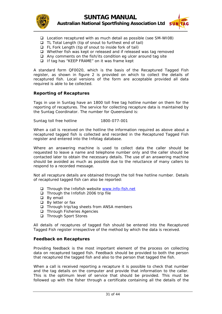

- Location recaptured with as much detail as possible (see SM-WI08)
- $\Box$  TL Total Length (tip of snout to furthest end of tail)
- □ FL Fork Length (tip of snout to inside fork of tail)
- $\Box$  Whether fish was kept or released and if released was tag removed
- $\Box$  Any comments on the fish/its condition eg ulcer around tag site
- $\Box$  If tag has "KEEP FRAME" on it was frame kept

recaptured fish. Local versions of the form are acceptable provided all data required is able to be collected. A standard form QF0020, which is the basis of the Recaptured Tagged Fish register, as shown in *figure 2* is provided on which to collect the details of

#### **eporting of Recaptures R**

reporting of recaptures. The service for collecting recapture data is maintained by the Suntag Coordinator. The number for Queensland is: Tags in use in Suntag have an 1800 toll free tag hotline number on them for the

Suntag toll free hotline 1800-077-001

recaptured tagged fish is collected and recorded in the Recaptured Tagged Fish register and entered into the Infotag database. When a call is received on the hotline the information required as above about a

should be avoided as much as possible due to the reluctance of many callers to respond to a recorded message. Where an answering machine is used to collect data the caller should be requested to leave a name and telephone number only and the caller should be contacted later to obtain the necessary details. The use of an answering machine

Not all recapture details are obtained through the toll free hotline number. Details of recaptured tagged fish can also be reported:

- Through the Infofish website www.info-fish.net
- $\Box$  Through the Infofish 2006 trip file
- **D** By email
- $\Box$  By letter or fax
- $\Box$  Through trip/tag sheets from ANSA members
- $\Box$  Through Fisheries Agencies
- □ Through Sport Stores

All details of recaptures of tagged fish should be entered into the Recaptured Tagged Fish register irrespective of the method by which the data is received.

#### **Feedback on Recaptures**

data on recaptured tagged fish. Feedback should be provided to both the person that recaptured the tagged fish and also to the person that tagged the fish. Providing feedback is the most important element of the process on collecting

When a call is received reporting a recapture it is possible to check that number and the tag details on the computer and provide that information to the caller. This is the optimum level of service that should be provided. This must be followed up with the fisher through a certificate containing all the details of the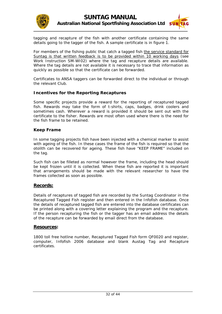



tagging and recapture of the fish with another certificate containing the same details going to the tagger of the fish. A sample certificate is in *figure 1*.

For members of the fishing public that catch a tagged fish the service standard for Suntag is that written feedback is to be provided within 10 working days (see Work Instruction SM-WI02) where the tag and recapture details are available. Where the tag details are not available it is necessary to trace that information as quickly as possible so that the certificate can be forwarded.

Certificates to ANSA taggers can be forwarded direct to the individual or through the relevant Club.

#### **Incentives for the Reporting Recaptures**

sometimes cash. Wherever a reward is provided it should be sent out with the certificate to the fisher. Rewards are most often used where there is the need for the fish frame to be retained. Some specific projects provide a reward for the reporting of recaptured tagged fish. Rewards may take the form of t-shirts, caps, badges, drink coolers and

#### **Keep Frame**

with ageing of the fish. In these cases the frame of the fish is required so that the otolith can be recovered for ageing. These fish have "KEEP FRAME" included on In some tagging projects fish have been injected with a chemical marker to assist the tag.

be kept frozen until it is collected. When these fish are reported it is important that arrangements should be made with the relevant researcher to have the frames collected as soon as possible. Such fish can be filleted as normal however the frame, including the head should

#### **Records:**

Details of recaptures of tagged fish are recorded by the Suntag Coordinator in the Recaptured Tagged Fish register and then entered in the Infofish database. Once the details of recaptured tagged fish are entered into the database certificates can be printed along with a covering letter explaining the program and the recapture. If the person recapturing the fish or the tagger has an email address the details of the recapture can be forwarded by email direct from the database.

#### **Resources:**

1800 toll free hotline number, Recaptured Tagged Fish form QF0020 and register, computer, Infofish 2006 database and blank Austag Tag and Recapture certificates.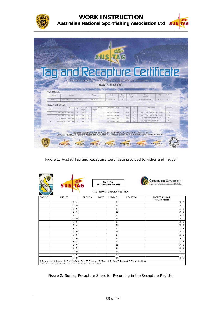

|              |                                |                                     |                     |            |               |          |                          |                                                                                           |               |     |                 | Tag and Recapture Certificate |     |            |
|--------------|--------------------------------|-------------------------------------|---------------------|------------|---------------|----------|--------------------------|-------------------------------------------------------------------------------------------|---------------|-----|-----------------|-------------------------------|-----|------------|
|              |                                |                                     |                     |            |               |          |                          |                                                                                           |               |     |                 |                               |     |            |
|              |                                |                                     |                     |            |               |          |                          | THIS CERTEICATE IS AWARDED FOR THE CONTRIBUTION TO OUR KNOWLEDGE OF FISH IN AUSTRALIA, TO |               |     |                 |                               |     |            |
|              |                                |                                     |                     |            |               |          |                          | <b>JAMES BALOG</b>                                                                        |               |     |                 |                               |     |            |
|              |                                |                                     |                     |            |               |          |                          |                                                                                           |               |     |                 |                               |     |            |
|              | <b>TAG DETAILS:</b><br>Tag No. |                                     | Species             |            |               |          | Tagger                   | Date.                                                                                     | Total         |     | Fork            | Tag                           | Map | Grid       |
|              | R50124                         |                                     | GOLDSPOTTED ROCKCOD |            |               |          | <b>BALOG</b>             | 26/12/2006                                                                                | Length<br>300 |     | Length          | Location<br>MOSSMAN RIVER     | MSS | 029        |
|              |                                |                                     |                     |            |               |          |                          |                                                                                           |               |     |                 |                               |     |            |
|              |                                |                                     |                     |            |               | Growth   | Fork<br>Growth<br>Length | Recapture Location                                                                        |               | Map | Grid            | Movement                      |     | Released   |
| Recap        |                                | <b>RECAPTURE DETAILS:</b><br>Angler | Date.               | Days.      | Total:        |          |                          |                                                                                           |               |     |                 |                               |     |            |
| No.<br>$-1$  |                                | STEVENSEN S                         | 6/01/2007           | Out<br>11. | Length<br>300 | $\alpha$ |                          | <b>MOSSMAN RIVER</b>                                                                      |               | MSS | O <sub>29</sub> | OKM RECAPTURED SAME AREA      |     | Yes.       |
| 2.           |                                | <b>STEVENSEN S</b>                  | 4/03/2007           | 57         | 320           | 20       |                          | <b>MOSSMAN RIVER</b>                                                                      |               | MSS | 029             | OKM RECAPTURED SAME AREA      |     | <b>Yet</b> |
| $\mathbf{3}$ |                                | <b>FITZGERALD T</b>                 | 3/12/2007           | 274        | 365           | 45       |                          | <b>MOSSMAN RIVER</b>                                                                      |               | MSS | 029             | OKM RECAPTURED SAME AREA      |     | Yes        |
| $\Delta$     |                                | SIMPSON S                           | 8/12/2007           | 5          | 360           | $-5$     |                          | <b>MOSSMAN RIVER</b>                                                                      |               | MSS | O29             | OKM RECAPTURED SAME AREA      |     | Yes        |

Figure 1: Austag Tag and Recapture Certificate provided to Fisher and Tagger

|               | <b>SUNTAG</b>  |         |                |             | <b>SUNTAG</b><br><b>RECAPTURE SHEET</b> |                 | <b>Queensland</b> Government<br><b>Department of Primary Industries and Fisheries</b> |                |                           |
|---------------|----------------|---------|----------------|-------------|-----------------------------------------|-----------------|---------------------------------------------------------------------------------------|----------------|---------------------------|
|               |                |         |                |             | TAG RETURN CHECK SHEET NO:              |                 |                                                                                       |                |                           |
| <b>TAG NO</b> | <b>ANGLER</b>  |         | <b>SPECIES</b> | <b>DATE</b> | <b>LOA/LCF</b>                          | <b>LOCATION</b> | <b>ADDRESS/PHONE</b><br><b>NO/COMMENTS</b>                                            |                |                           |
|               | $\,$ R         | S       |                |             | E                                       |                 |                                                                                       | $\overline{K}$ | $\overline{\mathrm{F}}$   |
|               | C              | $\circ$ |                |             | M                                       |                 |                                                                                       | $\mathbb{R}$   | $\mathbf C$               |
|               | $\mathbb R$    | S       |                |             | Ε                                       |                 |                                                                                       | $\rm K$        | F                         |
|               | C              | $\circ$ |                |             | M                                       |                 |                                                                                       | $\mathbb R$    | $\mathbf C$               |
|               | $\mathbb{R}$   | S       |                |             | E                                       |                 |                                                                                       | K              | F                         |
|               | с              | $\circ$ |                |             | M                                       |                 |                                                                                       | R              | C                         |
|               | $\overline{R}$ | S       |                |             | E                                       |                 |                                                                                       | $\rm K$        | F                         |
|               | С              | $\circ$ |                |             | M                                       |                 |                                                                                       | R              |                           |
|               | $\mathbb R$    | S       |                |             | Ε                                       |                 |                                                                                       | K              |                           |
|               | $\mathsf{C}$   | $\circ$ |                |             | M                                       |                 |                                                                                       | $\mathbb{R}$   |                           |
|               | $\mathbb{R}$   | S       |                |             | E                                       |                 |                                                                                       | K              |                           |
|               | с              | $\circ$ |                |             | M                                       |                 |                                                                                       | R              |                           |
|               | $\mathbb{R}$   | S       |                |             | E                                       |                 |                                                                                       | K              | $\overline{F}$            |
|               | C              | $\circ$ |                |             | M                                       |                 |                                                                                       | $\mathbb{R}$   |                           |
|               | $\overline{R}$ | S       |                |             | Ε                                       |                 |                                                                                       | K              | F                         |
|               | C              | $\circ$ |                |             | M                                       |                 |                                                                                       | $\mathbb{R}$   |                           |
|               | $\mathbb R$    | S       |                |             | E                                       |                 |                                                                                       | K              | $\boldsymbol{\mathrm{F}}$ |
|               | $\mathbf C$    | $\circ$ |                |             | M                                       |                 |                                                                                       | $\mathbb R$    |                           |

Figure 2: Suntag Recapture Sheet for Recording in the Recapture Register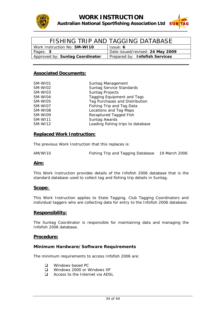



|                                     | FISHING TRIP AND TAGGING DATABASE |
|-------------------------------------|-----------------------------------|
| Work Instruction No: <b>SM-WI10</b> | Issue: 6                          |
| Pages: 3                            | Date issued/revised: 24 May 2009  |
| Approved by: Suntag Coordinator     | Prepared by: Infofish Services    |

| SM-WI01        | Suntag Management                 |
|----------------|-----------------------------------|
| SM-WI02        | <b>Suntag Service Standards</b>   |
| SM-WI03        | <b>Suntag Projects</b>            |
| SM-WI04        | Tagging Equipment and Tags        |
| SM-WI05        | Tag Purchases and Distribution    |
| SM-WI07        | Fishing Trip and Tag Data         |
| SM-WI08        | Locations and Tag Maps            |
| SM-WI09        | Recaptured Tagged Fish            |
| <b>SM-WI11</b> | Suntag Awards                     |
| SM-WI12        | Loading fishing trips to database |

#### **Replaced Work Instruction:**

The previous Work Instruction that this replaces is:

AM/WI10 Fishing Trip and Tagging Database 19 March 2006

#### **Aim:**

This Work Instruction provides details of the Infofish 2006 database that is the standard database used to collect tag and fishing trip details in Suntag.

#### **Scope:**

This Work Instruction applies to State Tagging, Club Tagging Coordinators and individual taggers who are collecting data for entry to the Infofish 2006 database.

#### **Responsibility:**

The Suntag Coordinator is responsible for maintaining data and managing the Infofish 2006 database.

#### **Procedure:**

#### **Minimum Hardware/Software Requirements**

The minimum requirements to access Infofish 2006 are:

- **Q** Windows based PC
- Windows 2000 or Windows XP
- □ Access to the Internet via ADSL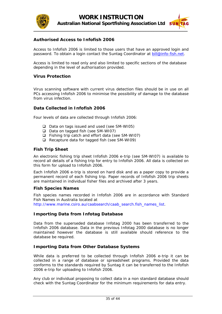



#### **Authorised Access to Infofish 2006**

Access to Infofish 2006 is limited to those users that have an approved login and password. To obtain a login contact the Suntag Coordinator at [bill@info-fish.net.](mailto:bii@info-fish.net)

Access is limited to read only and also limited to specific sections of the database depending in the level of authorisation provided.

#### **Virus Protection**

Virus scanning software with current virus detection files should be in use on all PCs accessing Infofish 2006 to minimise the possibility of damage to the database from virus infection.

#### **Data Collected in Infofish 2006**

Four levels of data are collected through Infofish 2006:

- $\Box$  Data on tags issued and used (see SM-WI05)
- $\Box$  Data on tagged fish (see SM-WI07)
- Fishing trip catch and effort data (see SM-WI07)
- $\Box$  Recapture data for tagged fish (see SM-WI09)

#### **Fish Trip Sheet**

An electronic fishing trip sheet Infofish 2006 e-trip (see SM-WI07) is available to record all details of a fishing trip for entry to Infofish 2006. All data is collected on this form for upload to Infofish 2006.

Each Infofish 2006 e-trip is stored on hard disk and as a paper copy to provide a permanent record of each fishing trip. Paper records of Infofish 2006 trip sheets are maintained in individual fisher files and archived after 3 years.

#### **Fish Species Names**

Fish species names recorded in Infofish 2006 are in accordance with Standard Fish Names in Australia located at http://www.marine.csiro.au/caabsearch/caab\_search.fish\_names\_list.

#### **Importing Data from Infotag Database**

Data from the superseded database Infotag 2000 has been transferred to the Infofish 2006 database. Data in the previous Infotag 2000 database is no longer maintained however the database is still available should reference to the database be required.

#### **Importing Data from Other Database Systems**

While data is preferred to be collected through Infofish 2006 e-trip it can be collected in a range of database or spreadsheet programs. Provided the data conforms to the standards required by Suntag it can be transferred to the Infofish 2006 e-trip for uploading to Infofish 2006.

Any club or individual proposing to collect data in a non standard database should check with the Suntag Coordinator for the minimum requirements for data entry.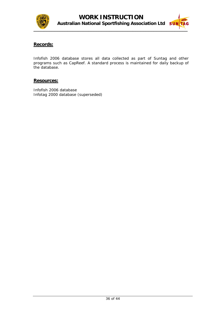



#### **Records:**

Infofish 2006 database stores all data collected as part of Suntag and other programs such as CapReef. A standard process is maintained for daily backup of the database.

#### **Resources:**

Infofish 2006 database Infotag 2000 database (superseded)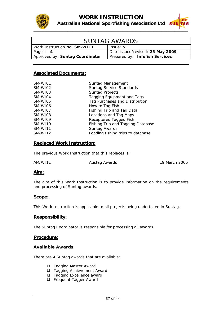



| <b>SUNTAG AWARDS</b>                |                                  |  |
|-------------------------------------|----------------------------------|--|
| Work Instruction No: <b>SM-WI11</b> | Issue: 5                         |  |
| Pages: 4                            | Date issued/revised: 25 May 2009 |  |
| Approved by: Suntag Coordinator     | Prepared by: Infofish Services   |  |

| SM-WI01 | Suntag Management                 |
|---------|-----------------------------------|
| SM-WI02 | Suntag Service Standards          |
| SM-WI03 | <b>Suntag Projects</b>            |
| SM-WI04 | <b>Tagging Equipment and Tags</b> |
| SM-WI05 | Tag Purchases and Distribution    |
| SM-WI06 | How to Tag Fish                   |
| SM-WI07 | Fishing Trip and Tag Data         |
| SM-WI08 | Locations and Tag Maps            |
| SM-WI09 | Recaptured Tagged Fish            |
| SM-WI10 | Fishing Trip and Tagging Database |
| SM-WI11 | Suntag Awards                     |
| SM-WI12 | Loading fishing trips to database |

#### **Replaced Work Instruction:**

The previous Work Instruction that this replaces is:

AM/WI11 Austag Awards 19 March 2006

#### **Aim:**

The aim of this Work Instruction is to provide information on the requirements and processing of Suntag awards.

#### **Scope:**

This Work Instruction is applicable to all projects being undertaken in Suntag.

#### **Responsibility:**

The Suntag Coordinator is responsible for processing all awards.

#### **Procedure:**

#### **Available Awards**

There are 4 Suntag awards that are available:

- **Tagging Master Award**
- □ Tagging Achievement Award
- □ Tagging Excellence award
- **Example 1** Frequent Tagger Award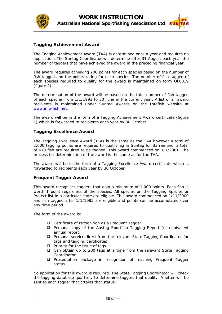



#### **Tagging Achievement Award**

The Tagging Achievement Award (TAA) is determined once a year and requires no application. The Suntag Coordinator will determine after 31 August each year the number of taggers that have achieved the award in the preceding financial year.

The award requires achieving 200 points for each species based on the number of fish tagged and the points rating for each species. The number of fish tagged of each species required to qualify for the award is maintained on form QF0019 (*figure 2*).

The determination of the award will be based on the total number of fish tagged of each species from 1/1/1993 to 30 June in the current year. A list of all award recipients is maintained under Suntag Awards on the Infofish website at [www.info-fish.net.](http://www.info-fish.net/)

The award will be in the form of a Tagging Achievement Award certificate (*figure 1*) which is forwarded to recipients each year by 30 October.

#### **Tagging Excellence Award**

The Tagging Excellence Award (TEA) is the same as the TAA however a total of 2,000 tagging points are required to qualify eg in Suntag for Barramundi a total of 670 fish are required to be tagged. This award commenced on 1/7/2001. The process for determination of the award is the same as for the TAA.

The award will be in the form of a Tagging Excellence Award certificate which is forwarded to recipients each year by 30 October.

#### **Frequent Tagger Award**

This award recognises taggers that gain a minimum of 1,000 points. Each fish is worth 1 point regardless of the species. All species on the Tagging Species or Project list in a particular state are eligible. This award commenced on 1/11/2000 and fish tagged after 1/1/1985 are eligible and points can be accumulated over any time period.

The form of the award is:

- □ Certificate of recognition as a Frequent Tagger
- Personal copy of the Austag Sportfish Tagging Report (or equivalent annual report)
- □ Personal service direct from the relevant State Tagging Coordinator for tags and tagging certificates
- $\Box$  Priority for the issue of tags
- □ Can obtain up to 200 tags at a time from the relevant State Tagging Coordinator
- Presentation package in recognition of reaching Frequent Tagger status.

No application for this award is required. The State Tagging Coordinator will check the tagging database quarterly to determine taggers that qualify. A letter will be sent to each tagger that attains that status.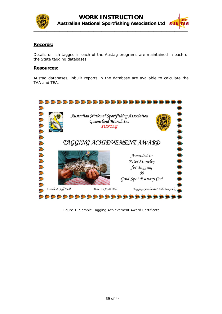



#### **Records:**

Details of fish tagged in each of the Austag programs are maintained in each of the State tagging databases.

#### **Resources:**

Austag databases, inbuilt reports in the database are available to calculate the TAA and TEA.



Figure 1: Sample Tagging Achievement Award Certificate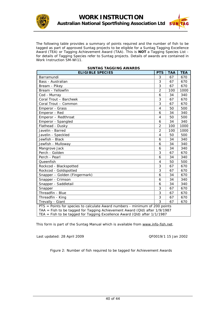



The following table provides a summary of points required and the number of fish to be tagged as part of approved Suntag projects to be eligible for a Suntag Tagging Excellence Award (TEA) or Tagging Achievement Award (TAA). This is **NOT** a Tagging Species List for details of Tagging Species refer to Suntag projects. Details of awards are contained in Work Instruction SM-WI11.

| <b>ELIGIBLE SPECIES</b>                                                                                                                                                                                                                | <b>PTS</b>     | <b>TAA</b> | <b>TEA</b> |  |
|----------------------------------------------------------------------------------------------------------------------------------------------------------------------------------------------------------------------------------------|----------------|------------|------------|--|
| Barramundi                                                                                                                                                                                                                             | 3              | 67         | 670        |  |
| Bass - Australian                                                                                                                                                                                                                      | 3              | 67         | 670        |  |
| Bream - Pikey                                                                                                                                                                                                                          | 3              | 67         | 670        |  |
| Bream - Yellowfin                                                                                                                                                                                                                      | 2              | 100        | 1000       |  |
| Cod - Murray                                                                                                                                                                                                                           | 6              | 34         | 340        |  |
| Coral Trout - Barcheek                                                                                                                                                                                                                 | 3              | 67         | 670        |  |
| Coral Trout - Common                                                                                                                                                                                                                   | 3              | 67         | 670        |  |
| Emperor - Grass                                                                                                                                                                                                                        | 4              | 50         | 500        |  |
| Emperor - Red                                                                                                                                                                                                                          | 6              | 34         | 340        |  |
| Emperor - Redthroat                                                                                                                                                                                                                    | 4              | 50         | 500        |  |
| Emperor - Spangled                                                                                                                                                                                                                     | 6              | 34         | 340        |  |
| Flathead - Dusky                                                                                                                                                                                                                       | $\overline{2}$ | 100        | 1000       |  |
| Javelin - Barred                                                                                                                                                                                                                       | $\overline{2}$ | 100        | 1000       |  |
| Javelin - Speckled                                                                                                                                                                                                                     | 4              | 50         | 500        |  |
| Jewfish - Black                                                                                                                                                                                                                        | 6              | 34         | 340        |  |
| Jewfish - Mulloway                                                                                                                                                                                                                     | 6              | 34         | 340        |  |
| Mangrove Jack                                                                                                                                                                                                                          | 6              | 34         | 340        |  |
| Perch - Golden                                                                                                                                                                                                                         | 3              | 67         | 670        |  |
| Perch - Pearl                                                                                                                                                                                                                          | 6              | 34         | 340        |  |
| Queenfish                                                                                                                                                                                                                              | 4              | 50         | 500        |  |
| Rockcod - Blackspotted                                                                                                                                                                                                                 | 3              | 67         | 670        |  |
| Rockcod - Goldspotted                                                                                                                                                                                                                  | 3              | 67         | 670        |  |
| Snapper - Golden (Fingermark)                                                                                                                                                                                                          | 6              | 34         | 670        |  |
| Snapper - Crimson                                                                                                                                                                                                                      | 6              | 34         | 340        |  |
| Snapper - Saddletail                                                                                                                                                                                                                   | 6              | 34         | 340        |  |
| Snapper                                                                                                                                                                                                                                | 3              | 67         | 670        |  |
| Threadfin - Blue                                                                                                                                                                                                                       | 3              | 67         | 670        |  |
| Threadfin - King                                                                                                                                                                                                                       | 3              | 67         | 670        |  |
| Trevally - Giant                                                                                                                                                                                                                       | 3              | 67         | 670        |  |
| PTS = Points for species to calculate Award numbers - minimum of 200 points<br>TAA = Fish to be tagged for Tagging Achievement Award (Qld) after 1/9/1987<br>TEA = Fish to be tagged for Tagging Excellence Award (Qld) after 1/1/1987 |                |            |            |  |

#### **SUNTAG TAGGING AWARDS**

This form is part of the Suntag Manual which is available from www.info-fish.net.

Last updated: 28 April 2009 QF0019/1 15 Jan 2002

Figure 2: Number of fish required to be tagged for Achievement Awards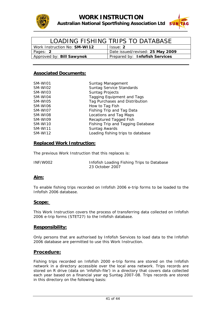



| LOADING FISHING TRIPS TO DATABASE   |                                  |  |
|-------------------------------------|----------------------------------|--|
| Work Instruction No: <b>SM-WI12</b> | Issue: 2                         |  |
| Pages: 2                            | Date issued/revised: 25 May 2009 |  |
| Approved by: Bill Sawynok           | Prepared by: Infofish Services   |  |

| SM-WI01 | Suntag Management                 |
|---------|-----------------------------------|
| SM-WI02 | Suntag Service Standards          |
| SM-WI03 | <b>Suntag Projects</b>            |
| SM-WI04 | Tagging Equipment and Tags        |
| SM-WI05 | Tag Purchases and Distribution    |
| SM-WI06 | How to Tag Fish                   |
| SM-WI07 | Fishing Trip and Tag Data         |
| SM-WI08 | Locations and Tag Maps            |
| SM-WI09 | Recaptured Tagged Fish            |
| SM-WI10 | Fishing Trip and Tagging Database |
| SM-WI11 | Suntag Awards                     |
| SM-WI12 | Loading fishing trips to database |

#### **Replaced Work Instruction:**

The previous Work Instruction that this replaces is:

| INF/W002 | Infofish Loading Fishing Trips to Database |
|----------|--------------------------------------------|
|          | 23 October 2007                            |

#### **Aim:**

To enable fishing trips recorded on Infofish 2006 e-trip forms to be loaded to the Infofish 2006 database.

#### **Scope:**

This Work Instruction covers the process of transferring data collected on Infofish 2006 e-trip forms (STET27) to the Infofish database.

#### **Responsibility:**

Only persons that are authorised by Infofish Services to load data to the Infofish 2006 database are permitted to use this Work Instruction.

#### **Procedure:**

Fishing trips recorded on Infofish 2000 e-trip forms are stored on the Infofish network in a directory accessible over the local area network. Trips records are stored on R drive (data on 'infofish-file') in a directory that covers data collected each year based on a financial year eg Suntag 2007-08. Trips records are stored in this directory on the following basis: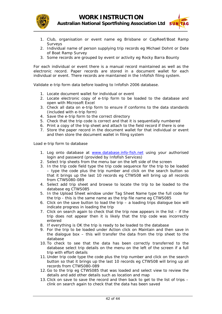



- 1. Club, organisation or event name eg Brisbane or CapReef/Boat Ramp **Surveys**
- 2. Individual name of person supplying trip records eg Michael Dohnt or Date of Boat Ramp Survey
- 3. Some records are grouped by event or activity eg Rocky Barra Bounty

For each individual or event there is a manual record maintained as well as the electronic record. Paper records are stored in a document wallet for each individual or event. There records are maintained in the Infofish filing system.

Validate e-trip form data before loading to Infofish 2006 database.

- 1. Locate document wallet for individual or event
- 2. Locate electronic copy of e-trip form to be loaded to the database and open with Microsoft Excel
- 3. Check all data on e-trip form to ensure if conforms to the data standards (included with e-trip form)
- 4. Save the e-trip form to the correct directory
- 5. Check that the trip code is correct and that it is sequentially numbered
- 6. Print a copy of the trip sheet and attach to the field record if there is one
- 7. Store the paper record in the document wallet for that individual or event and then store the document wallet in filing system

Load e-trip form to database

- 1. Log onto database at [www.database.info-fish.net](http://www.database.info-fish.net/) using your authorised login and password (provided by Infofish Services)
- 2. Select trip sheets from the menu bar on the left side of the screen
- 3. In the trip code field type the trip code sequence for the trip to be loaded – type the code plus the trip number and click on the search button so that it brings up the last 10 records eg CTWS08 will bring up all records from CTWS080-089
- 4. Select add trip sheet and browse to locate the trip to be loaded to the database eg CTWS085
- 5. In the Upload Sheet window under Tag Sheet Name type the full code for the trip - this is the same name as the trip file name eg CTWS085
- 6. Click on the save button to load the trip a loading trips dialogue box will indicate progress in loading the trip
- 7. Click on search again to check that the trip now appears in the list if the trip does not appear then it is likely that the trip code was incorrectly entered
- 8. If everything is OK the trip is ready to be loaded to the database
- 9. For the trip to be loaded under Action click on Maintain and then save in the dialogue box – this will transfer the data from the trip sheet to the database
- 10. To check to see that the data has been correctly transferred to the database select trip details on the menu on the left of the screen if a full trip with effort details
- 11. Under trip code type the code plus the trip number and click on the search button so that it brings up the last 10 records eg CTWS08 will bring up all records from CTWS080-089
- 12. Go to the trip eg CTWS085 that was loaded and select view to review the details and add other details such as location and map
- 13.Click on save to save the record and then back to get to the list of trips clink on search again to check that the data has been saved